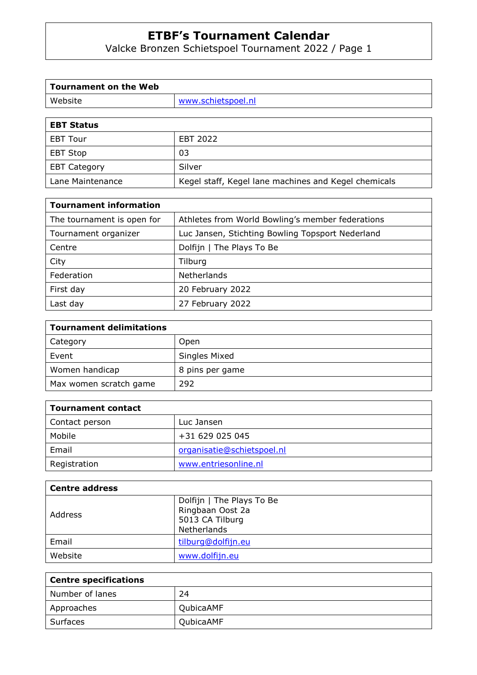Valcke Bronzen Schietspoel Tournament 2022 / Page 1

| <b>Tournament on the Web</b> |                    |
|------------------------------|--------------------|
| Website                      | www.schietspoel.nl |
|                              |                    |
| <b>EBT Status</b>            |                    |
| <b>EBT Tour</b>              | EBT 2022           |
| <b>EBT Stop</b>              | 03                 |
| <b>EBT Category</b>          | Silver             |

Lane Maintenance Kegel staff, Kegel lane machines and Kegel chemicals

| <b>Tournament information</b> |                                                  |
|-------------------------------|--------------------------------------------------|
| The tournament is open for    | Athletes from World Bowling's member federations |
| Tournament organizer          | Luc Jansen, Stichting Bowling Topsport Nederland |
| Centre                        | Dolfijn   The Plays To Be                        |
| City                          | Tilburg                                          |
| Federation                    | Netherlands                                      |
| First day                     | 20 February 2022                                 |
| Last day                      | 27 February 2022                                 |

| <b>Tournament delimitations</b> |                 |
|---------------------------------|-----------------|
| Category                        | Open            |
| Event                           | Singles Mixed   |
| Women handicap                  | 8 pins per game |
| Max women scratch game          | 292             |

| <b>Tournament contact</b> |                            |
|---------------------------|----------------------------|
| Contact person            | Luc Jansen                 |
| Mobile                    | +31 629 025 045            |
| Email                     | organisatie@schietspoel.nl |
| Registration              | www.entriesonline.nl       |

| <b>Centre address</b> |                                                                                 |
|-----------------------|---------------------------------------------------------------------------------|
| Address               | Dolfijn   The Plays To Be<br>Ringbaan Oost 2a<br>5013 CA Tilburg<br>Netherlands |
| Email                 | tilburg@dolfijn.eu                                                              |
| Website               | www.dolfijn.eu                                                                  |

| Centre specifications |           |
|-----------------------|-----------|
| Number of lanes       | 24        |
| Approaches            | QubicaAMF |
| Surfaces              | QubicaAMF |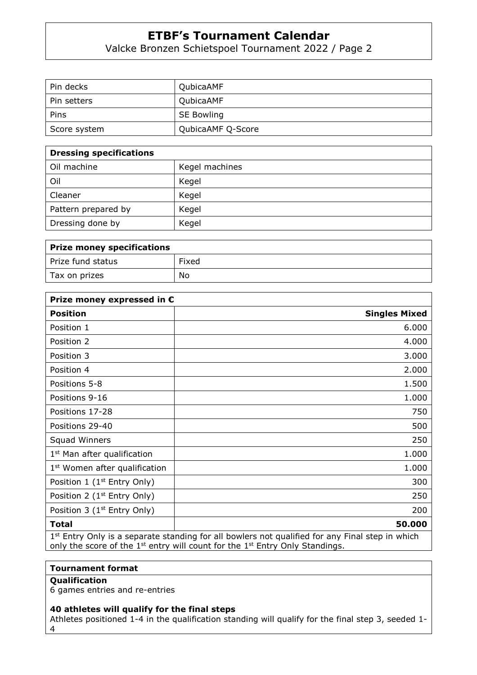Valcke Bronzen Schietspoel Tournament 2022 / Page 2

| Pin decks    | QubicaAMF         |
|--------------|-------------------|
| Pin setters  | QubicaAMF         |
| Pins         | <b>SE Bowling</b> |
| Score system | QubicaAMF Q-Score |

| <b>Dressing specifications</b> |                |
|--------------------------------|----------------|
| Oil machine                    | Kegel machines |
| Oil                            | Kegel          |
| Cleaner                        | Kegel          |
| Pattern prepared by            | Kegel          |
| Dressing done by               | Kegel          |

| Prize money specifications |       |
|----------------------------|-------|
| Prize fund status          | Fixed |
| Tax on prizes              | No    |

| Prize money expressed in $\epsilon$       |                                                                                                   |
|-------------------------------------------|---------------------------------------------------------------------------------------------------|
| <b>Position</b>                           | <b>Singles Mixed</b>                                                                              |
| Position 1                                | 6.000                                                                                             |
| Position 2                                | 4.000                                                                                             |
| Position 3                                | 3.000                                                                                             |
| Position 4                                | 2.000                                                                                             |
| Positions 5-8                             | 1.500                                                                                             |
| Positions 9-16                            | 1.000                                                                                             |
| Positions 17-28                           | 750                                                                                               |
| Positions 29-40                           | 500                                                                                               |
| <b>Squad Winners</b>                      | 250                                                                                               |
| 1 <sup>st</sup> Man after qualification   | 1.000                                                                                             |
| 1 <sup>st</sup> Women after qualification | 1.000                                                                                             |
| Position 1 ( $1st$ Entry Only)            | 300                                                                                               |
| Position 2 ( $1st$ Entry Only)            | 250                                                                                               |
| Position 3 ( $1st$ Entry Only)            | 200                                                                                               |
| <b>Total</b>                              | 50.000                                                                                            |
|                                           | $1st$ Entry Only is a separate standing for all bowlers not qualified for any Final step in which |

only the score of the  $1^{st}$  entry will count for the  $1^{st}$  Entry Only Standings.

## **Tournament format**

## **Qualification**

6 games entries and re-entries

### **40 athletes will qualify for the final steps**

Athletes positioned 1-4 in the qualification standing will qualify for the final step 3, seeded 1- 4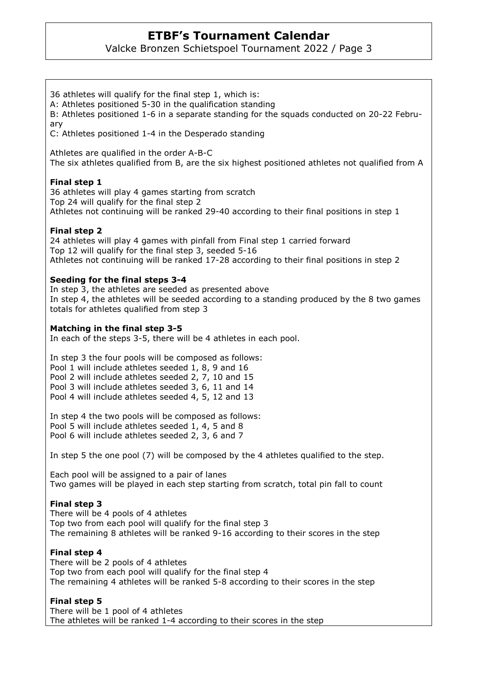Valcke Bronzen Schietspoel Tournament 2022 / Page 3

36 athletes will qualify for the final step 1, which is: A: Athletes positioned 5-30 in the qualification standing B: Athletes positioned 1-6 in a separate standing for the squads conducted on 20-22 February C: Athletes positioned 1-4 in the Desperado standing Athletes are qualified in the order A-B-C The six athletes qualified from B, are the six highest positioned athletes not qualified from A **Final step 1**  36 athletes will play 4 games starting from scratch Top 24 will qualify for the final step 2 Athletes not continuing will be ranked 29-40 according to their final positions in step 1 **Final step 2**  24 athletes will play 4 games with pinfall from Final step 1 carried forward Top 12 will qualify for the final step 3, seeded 5-16 Athletes not continuing will be ranked 17-28 according to their final positions in step 2

#### **Seeding for the final steps 3-4**

In step 3, the athletes are seeded as presented above In step 4, the athletes will be seeded according to a standing produced by the 8 two games totals for athletes qualified from step 3

#### **Matching in the final step 3-5**

In each of the steps 3-5, there will be 4 athletes in each pool.

In step 3 the four pools will be composed as follows: Pool 1 will include athletes seeded 1, 8, 9 and 16 Pool 2 will include athletes seeded 2, 7, 10 and 15 Pool 3 will include athletes seeded 3, 6, 11 and 14 Pool 4 will include athletes seeded 4, 5, 12 and 13

In step 4 the two pools will be composed as follows: Pool 5 will include athletes seeded 1, 4, 5 and 8 Pool 6 will include athletes seeded 2, 3, 6 and 7

In step 5 the one pool (7) will be composed by the 4 athletes qualified to the step.

Each pool will be assigned to a pair of lanes Two games will be played in each step starting from scratch, total pin fall to count

### **Final step 3**

There will be 4 pools of 4 athletes Top two from each pool will qualify for the final step 3 The remaining 8 athletes will be ranked 9-16 according to their scores in the step

#### **Final step 4**

There will be 2 pools of 4 athletes Top two from each pool will qualify for the final step 4 The remaining 4 athletes will be ranked 5-8 according to their scores in the step

### **Final step 5**

There will be 1 pool of 4 athletes The athletes will be ranked 1-4 according to their scores in the step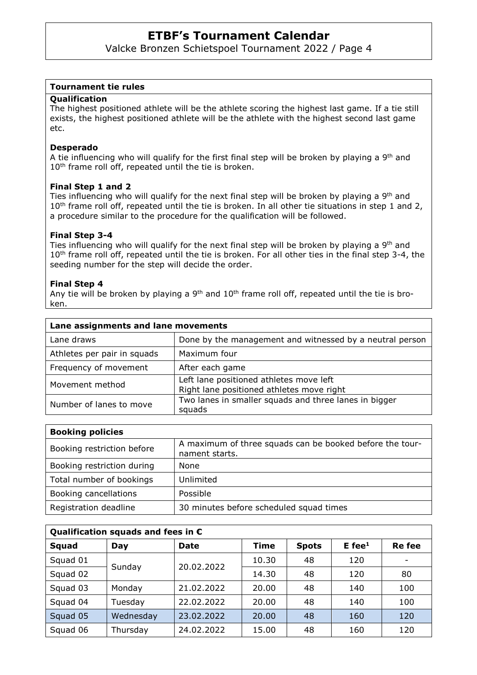Valcke Bronzen Schietspoel Tournament 2022 / Page 4

#### **Tournament tie rules**

#### **Qualification**

The highest positioned athlete will be the athlete scoring the highest last game. If a tie still exists, the highest positioned athlete will be the athlete with the highest second last game etc.

#### **Desperado**

A tie influencing who will qualify for the first final step will be broken by playing a 9<sup>th</sup> and 10<sup>th</sup> frame roll off, repeated until the tie is broken.

#### **Final Step 1 and 2**

Ties influencing who will qualify for the next final step will be broken by playing a 9<sup>th</sup> and 10<sup>th</sup> frame roll off, repeated until the tie is broken. In all other tie situations in step 1 and 2, a procedure similar to the procedure for the qualification will be followed.

#### **Final Step 3-4**

Ties influencing who will qualify for the next final step will be broken by playing a  $9<sup>th</sup>$  and 10<sup>th</sup> frame roll off, repeated until the tie is broken. For all other ties in the final step 3-4, the seeding number for the step will decide the order.

#### **Final Step 4**

Any tie will be broken by playing a  $9<sup>th</sup>$  and  $10<sup>th</sup>$  frame roll off, repeated until the tie is broken.

| Lane assignments and lane movements |                                                                                      |
|-------------------------------------|--------------------------------------------------------------------------------------|
| Lane draws                          | Done by the management and witnessed by a neutral person                             |
| Athletes per pair in squads         | Maximum four                                                                         |
| Frequency of movement               | After each game                                                                      |
| Movement method                     | Left lane positioned athletes move left<br>Right lane positioned athletes move right |
| Number of lanes to move             | Two lanes in smaller squads and three lanes in bigger<br>squads                      |

| <b>Booking policies</b>    |                                                                            |
|----------------------------|----------------------------------------------------------------------------|
| Booking restriction before | A maximum of three squads can be booked before the tour-<br>nament starts. |
| Booking restriction during | None                                                                       |
| Total number of bookings   | Unlimited                                                                  |
| Booking cancellations      | Possible                                                                   |
| Registration deadline      | 30 minutes before scheduled squad times                                    |

| Qualification squads and fees in $\epsilon$ |           |             |       |              |             |               |  |  |  |
|---------------------------------------------|-----------|-------------|-------|--------------|-------------|---------------|--|--|--|
| Squad                                       | Day       | <b>Date</b> | Time  | <b>Spots</b> | $E$ fee $1$ | <b>Re</b> fee |  |  |  |
| Squad 01                                    | Sunday    | 20.02.2022  | 10.30 | 48           | 120         |               |  |  |  |
| Squad 02                                    |           |             | 14.30 | 48           | 120         | 80            |  |  |  |
| Squad 03                                    | Monday    | 21.02.2022  | 20,00 | 48           | 140         | 100           |  |  |  |
| Squad 04                                    | Tuesday   | 22.02.2022  | 20,00 | 48           | 140         | 100           |  |  |  |
| Squad 05                                    | Wednesday | 23.02.2022  | 20.00 | 48           | 160         | 120           |  |  |  |
| Squad 06                                    | Thursday  | 24.02.2022  | 15.00 | 48           | 160         | 120           |  |  |  |